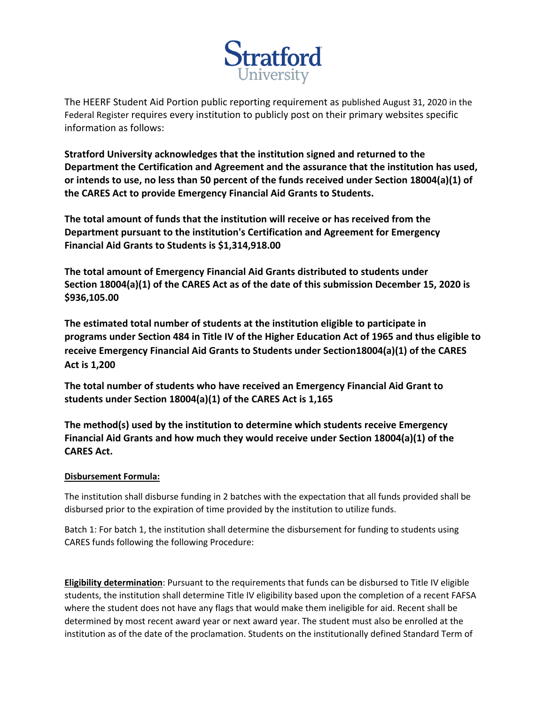

The HEERF Student Aid Portion public reporting requirement as published August 31, 2020 in the Federal Register requires every institution to publicly post on their primary websites specific information as follows:

**Stratford University acknowledges that the institution signed and returned to the Department the Certification and Agreement and the assurance that the institution has used, or intends to use, no less than 50 percent of the funds received under Section 18004(a)(1) of the CARES Act to provide Emergency Financial Aid Grants to Students.** 

**The total amount of funds that the institution will receive or has received from the Department pursuant to the institution's Certification and Agreement for Emergency Financial Aid Grants to Students is \$1,314,918.00** 

**The total amount of Emergency Financial Aid Grants distributed to students under Section 18004(a)(1) of the CARES Act as of the date of this submission December 15, 2020 is \$936,105.00**

**The estimated total number of students at the institution eligible to participate in programs under Section 484 in Title IV of the Higher Education Act of 1965 and thus eligible to receive Emergency Financial Aid Grants to Students under Section18004(a)(1) of the CARES Act is 1,200**

**The total number of students who have received an Emergency Financial Aid Grant to students under Section 18004(a)(1) of the CARES Act is 1,165**

**The method(s) used by the institution to determine which students receive Emergency Financial Aid Grants and how much they would receive under Section 18004(a)(1) of the CARES Act.** 

## **Disbursement Formula:**

The institution shall disburse funding in 2 batches with the expectation that all funds provided shall be disbursed prior to the expiration of time provided by the institution to utilize funds.

Batch 1: For batch 1, the institution shall determine the disbursement for funding to students using CARES funds following the following Procedure:

**Eligibility determination**: Pursuant to the requirements that funds can be disbursed to Title IV eligible students, the institution shall determine Title IV eligibility based upon the completion of a recent FAFSA where the student does not have any flags that would make them ineligible for aid. Recent shall be determined by most recent award year or next award year. The student must also be enrolled at the institution as of the date of the proclamation. Students on the institutionally defined Standard Term of